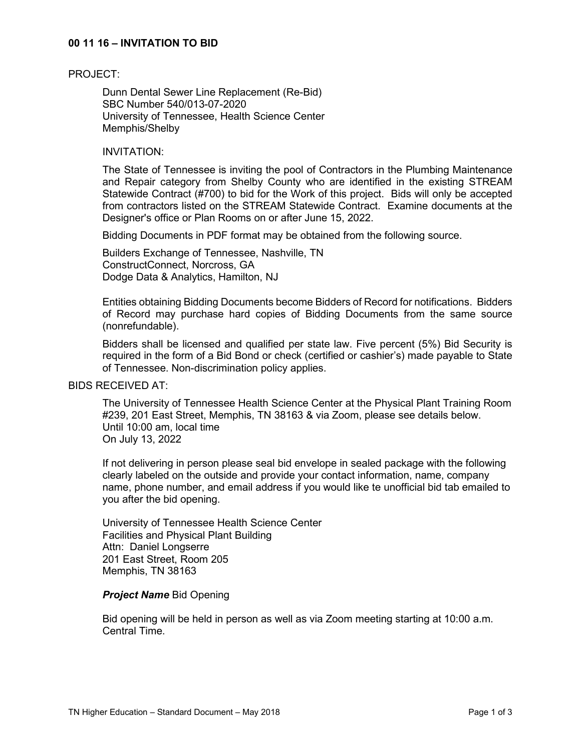# **00 11 16 – INVITATION TO BID**

#### PROJECT:

Dunn Dental Sewer Line Replacement (Re-Bid) SBC Number 540/013-07-2020 University of Tennessee, Health Science Center Memphis/Shelby

#### INVITATION:

The State of Tennessee is inviting the pool of Contractors in the Plumbing Maintenance and Repair category from Shelby County who are identified in the existing STREAM Statewide Contract (#700) to bid for the Work of this project. Bids will only be accepted from contractors listed on the STREAM Statewide Contract. Examine documents at the Designer's office or Plan Rooms on or after June 15, 2022.

Bidding Documents in PDF format may be obtained from the following source.

Builders Exchange of Tennessee, Nashville, TN ConstructConnect, Norcross, GA Dodge Data & Analytics, Hamilton, NJ

Entities obtaining Bidding Documents become Bidders of Record for notifications. Bidders of Record may purchase hard copies of Bidding Documents from the same source (nonrefundable).

Bidders shall be licensed and qualified per state law. Five percent (5%) Bid Security is required in the form of a Bid Bond or check (certified or cashier's) made payable to State of Tennessee. Non-discrimination policy applies.

#### BIDS RECEIVED AT:

The University of Tennessee Health Science Center at the Physical Plant Training Room #239, 201 East Street, Memphis, TN 38163 & via Zoom, please see details below. Until 10:00 am, local time On July 13, 2022

If not delivering in person please seal bid envelope in sealed package with the following clearly labeled on the outside and provide your contact information, name, company name, phone number, and email address if you would like te unofficial bid tab emailed to you after the bid opening.

University of Tennessee Health Science Center Facilities and Physical Plant Building Attn: Daniel Longserre 201 East Street, Room 205 Memphis, TN 38163

#### *Project Name* Bid Opening

Bid opening will be held in person as well as via Zoom meeting starting at 10:00 a.m. Central Time.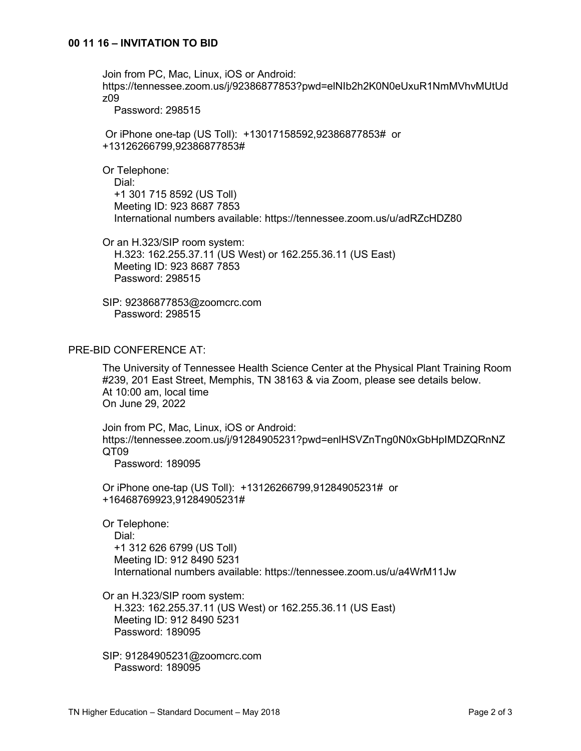Join from PC, Mac, Linux, iOS or Android: https://tennessee.zoom.us/j/92386877853?pwd=elNIb2h2K0N0eUxuR1NmMVhvMUtUd z09 Password: 298515 Or iPhone one-tap (US Toll): +13017158592,92386877853# or +13126266799,92386877853# Or Telephone: Dial: +1 301 715 8592 (US Toll) Meeting ID: 923 8687 7853 International numbers available: https://tennessee.zoom.us/u/adRZcHDZ80 Or an H.323/SIP room system: H.323: 162.255.37.11 (US West) or 162.255.36.11 (US East) Meeting ID: 923 8687 7853 Password: 298515 SIP: 92386877853@zoomcrc.com Password: 298515

# PRE-BID CONFERENCE AT:

The University of Tennessee Health Science Center at the Physical Plant Training Room #239, 201 East Street, Memphis, TN 38163 & via Zoom, please see details below. At 10:00 am, local time On June 29, 2022

Join from PC, Mac, Linux, iOS or Android: https://tennessee.zoom.us/j/91284905231?pwd=enlHSVZnTng0N0xGbHpIMDZQRnNZ QT09 Password: 189095

Or iPhone one-tap (US Toll): +13126266799,91284905231# or +16468769923,91284905231#

Or Telephone: Dial: +1 312 626 6799 (US Toll) Meeting ID: 912 8490 5231 International numbers available: https://tennessee.zoom.us/u/a4WrM11Jw

Or an H.323/SIP room system: H.323: 162.255.37.11 (US West) or 162.255.36.11 (US East) Meeting ID: 912 8490 5231 Password: 189095

SIP: 91284905231@zoomcrc.com Password: 189095